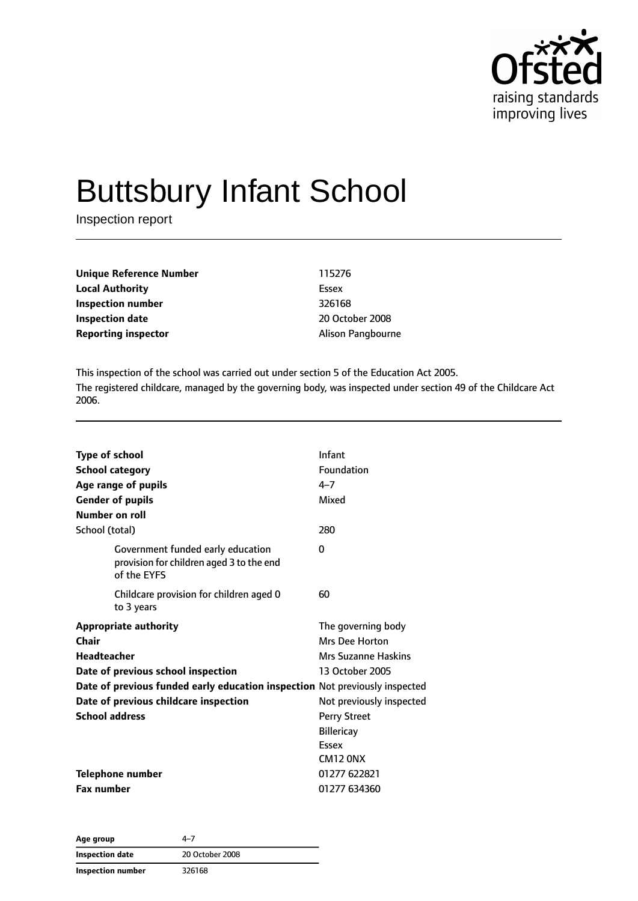

# Buttsbury Infant School

Inspection report

| Unique Reference Number    | 115276                   |
|----------------------------|--------------------------|
| <b>Local Authority</b>     | Essex                    |
| Inspection number          | 326168                   |
| <b>Inspection date</b>     | 20 October 2008          |
| <b>Reporting inspector</b> | <b>Alison Pangbourne</b> |

This inspection of the school was carried out under section 5 of the Education Act 2005. The registered childcare, managed by the governing body, was inspected under section 49 of the Childcare Act 2006.

| <b>Type of school</b><br><b>School category</b><br>Age range of pupils<br><b>Gender of pupils</b><br>Number on roll<br>School (total)                                                                                                       | Infant<br>Foundation<br>$4 - 7$<br>Mixed<br>280                                                                                                        |
|---------------------------------------------------------------------------------------------------------------------------------------------------------------------------------------------------------------------------------------------|--------------------------------------------------------------------------------------------------------------------------------------------------------|
| Government funded early education<br>provision for children aged 3 to the end<br>of the EYFS                                                                                                                                                | $\Omega$                                                                                                                                               |
| Childcare provision for children aged 0<br>to 3 years                                                                                                                                                                                       | 60                                                                                                                                                     |
| <b>Appropriate authority</b><br>Chair<br>Headteacher<br>Date of previous school inspection<br>Date of previous funded early education inspection Not previously inspected<br>Date of previous childcare inspection<br><b>School address</b> | The governing body<br>Mrs Dee Horton<br>Mrs Suzanne Haskins<br>13 October 2005<br>Not previously inspected<br><b>Perry Street</b><br><b>Billericay</b> |
| <b>Telephone number</b><br><b>Fax number</b>                                                                                                                                                                                                | Essex<br>CM <sub>12</sub> ONX<br>01277 622821<br>01277 634360                                                                                          |

**Age group** 4–7 **Inspection date** 20 October 2008 **Inspection number** 326168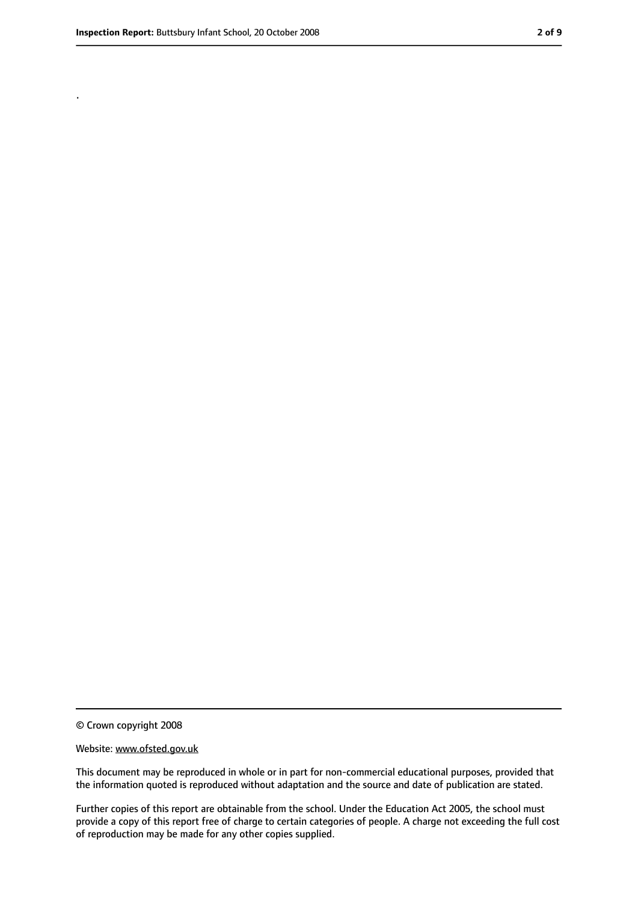.

<sup>©</sup> Crown copyright 2008

Website: www.ofsted.gov.uk

This document may be reproduced in whole or in part for non-commercial educational purposes, provided that the information quoted is reproduced without adaptation and the source and date of publication are stated.

Further copies of this report are obtainable from the school. Under the Education Act 2005, the school must provide a copy of this report free of charge to certain categories of people. A charge not exceeding the full cost of reproduction may be made for any other copies supplied.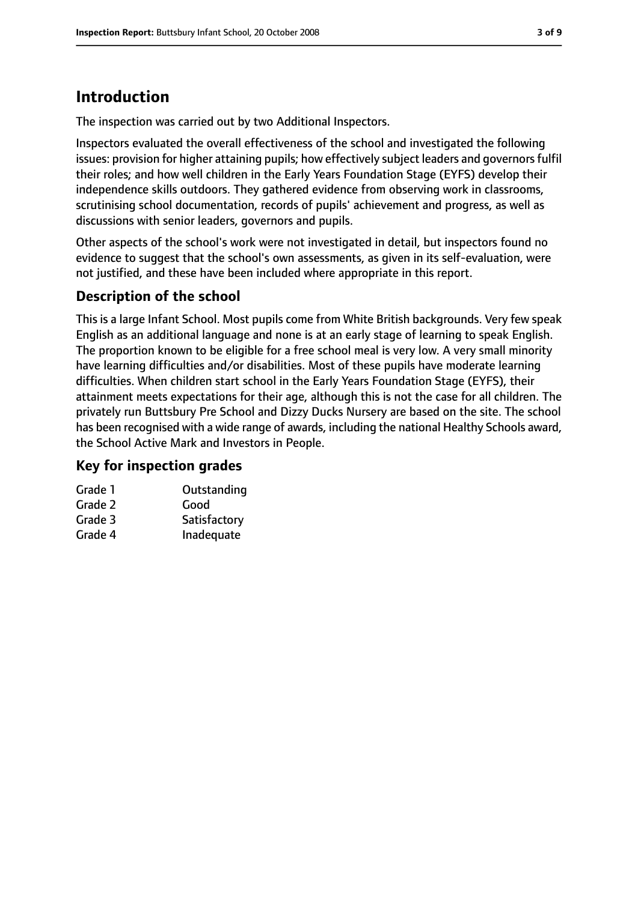# **Introduction**

The inspection was carried out by two Additional Inspectors.

Inspectors evaluated the overall effectiveness of the school and investigated the following issues: provision for higher attaining pupils; how effectively subject leaders and governors fulfil their roles; and how well children in the Early Years Foundation Stage (EYFS) develop their independence skills outdoors. They gathered evidence from observing work in classrooms, scrutinising school documentation, records of pupils' achievement and progress, as well as discussions with senior leaders, governors and pupils.

Other aspects of the school's work were not investigated in detail, but inspectors found no evidence to suggest that the school's own assessments, as given in its self-evaluation, were not justified, and these have been included where appropriate in this report.

#### **Description of the school**

This is a large Infant School. Most pupils come from White British backgrounds. Very few speak English as an additional language and none is at an early stage of learning to speak English. The proportion known to be eligible for a free school meal is very low. A very small minority have learning difficulties and/or disabilities. Most of these pupils have moderate learning difficulties. When children start school in the Early Years Foundation Stage (EYFS), their attainment meets expectations for their age, although this is not the case for all children. The privately run Buttsbury Pre School and Dizzy Ducks Nursery are based on the site. The school has been recognised with a wide range of awards, including the national Healthy Schools award, the School Active Mark and Investors in People.

#### **Key for inspection grades**

| Grade 1 | Outstanding  |
|---------|--------------|
| Grade 2 | Good         |
| Grade 3 | Satisfactory |
| Grade 4 | Inadequate   |
|         |              |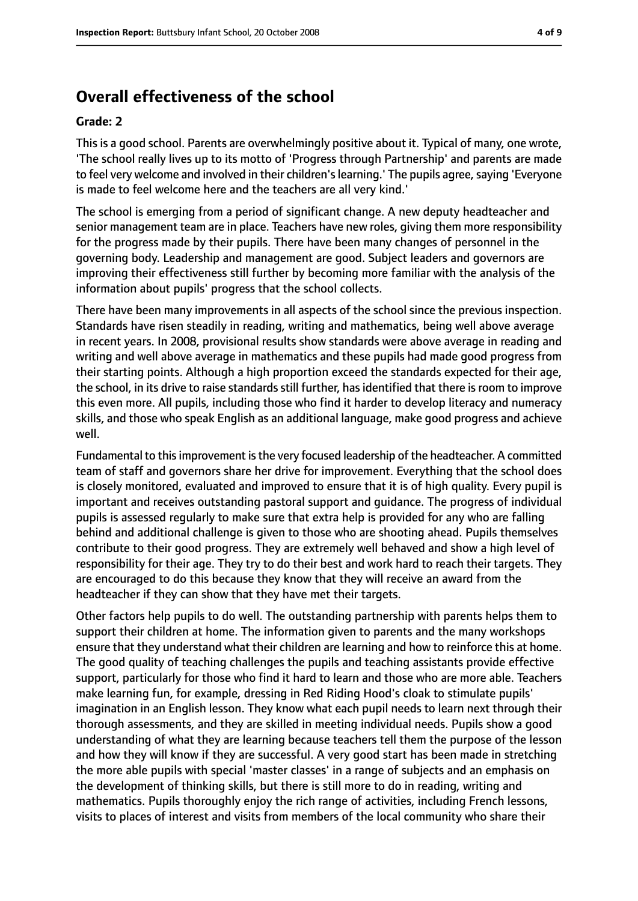### **Overall effectiveness of the school**

#### **Grade: 2**

This is a good school. Parents are overwhelmingly positive about it. Typical of many, one wrote, 'The school really lives up to its motto of 'Progress through Partnership' and parents are made to feel very welcome and involved in their children's learning.' The pupils agree, saying 'Everyone is made to feel welcome here and the teachers are all very kind.'

The school is emerging from a period of significant change. A new deputy headteacher and senior management team are in place. Teachers have new roles, giving them more responsibility for the progress made by their pupils. There have been many changes of personnel in the governing body. Leadership and management are good. Subject leaders and governors are improving their effectiveness still further by becoming more familiar with the analysis of the information about pupils' progress that the school collects.

There have been many improvements in all aspects of the school since the previous inspection. Standards have risen steadily in reading, writing and mathematics, being well above average in recent years. In 2008, provisional results show standards were above average in reading and writing and well above average in mathematics and these pupils had made good progress from their starting points. Although a high proportion exceed the standards expected for their age, the school, in its drive to raise standards still further, has identified that there is room to improve this even more. All pupils, including those who find it harder to develop literacy and numeracy skills, and those who speak English as an additional language, make good progress and achieve well.

Fundamental to thisimprovement isthe very focused leadership of the headteacher. A committed team of staff and governors share her drive for improvement. Everything that the school does is closely monitored, evaluated and improved to ensure that it is of high quality. Every pupil is important and receives outstanding pastoral support and guidance. The progress of individual pupils is assessed regularly to make sure that extra help is provided for any who are falling behind and additional challenge is given to those who are shooting ahead. Pupils themselves contribute to their good progress. They are extremely well behaved and show a high level of responsibility for their age. They try to do their best and work hard to reach their targets. They are encouraged to do this because they know that they will receive an award from the headteacher if they can show that they have met their targets.

Other factors help pupils to do well. The outstanding partnership with parents helps them to support their children at home. The information given to parents and the many workshops ensure that they understand what their children are learning and how to reinforce this at home. The good quality of teaching challenges the pupils and teaching assistants provide effective support, particularly for those who find it hard to learn and those who are more able. Teachers make learning fun, for example, dressing in Red Riding Hood's cloak to stimulate pupils' imagination in an English lesson. They know what each pupil needs to learn next through their thorough assessments, and they are skilled in meeting individual needs. Pupils show a good understanding of what they are learning because teachers tell them the purpose of the lesson and how they will know if they are successful. A very good start has been made in stretching the more able pupils with special 'master classes' in a range of subjects and an emphasis on the development of thinking skills, but there is still more to do in reading, writing and mathematics. Pupils thoroughly enjoy the rich range of activities, including French lessons, visits to places of interest and visits from members of the local community who share their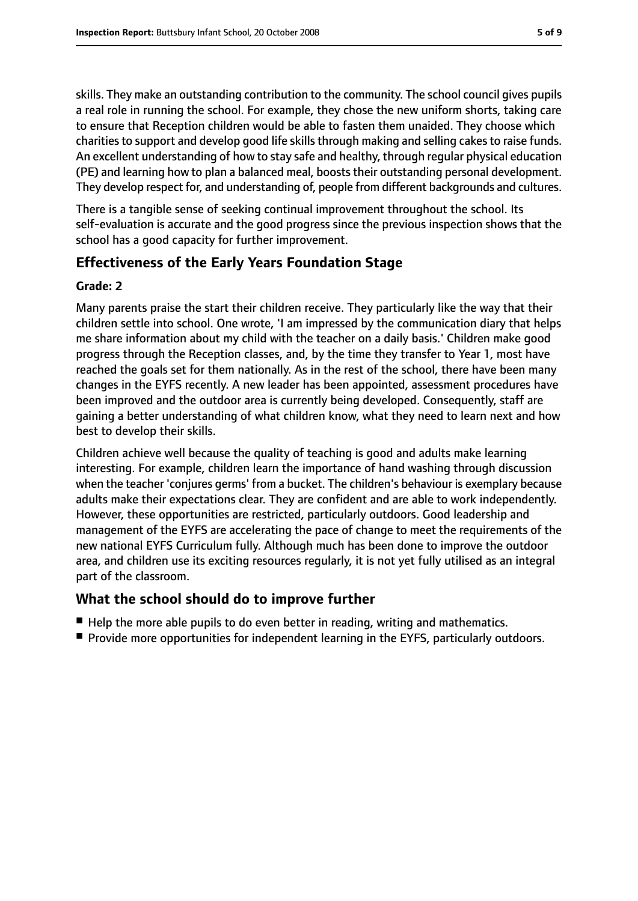skills. They make an outstanding contribution to the community. The school council gives pupils a real role in running the school. For example, they chose the new uniform shorts, taking care to ensure that Reception children would be able to fasten them unaided. They choose which charities to support and develop good life skills through making and selling cakes to raise funds. An excellent understanding of how to stay safe and healthy, through regular physical education (PE) and learning how to plan a balanced meal, boosts their outstanding personal development. They develop respect for, and understanding of, people from different backgrounds and cultures.

There is a tangible sense of seeking continual improvement throughout the school. Its self-evaluation is accurate and the good progress since the previous inspection shows that the school has a good capacity for further improvement.

#### **Effectiveness of the Early Years Foundation Stage**

#### **Grade: 2**

Many parents praise the start their children receive. They particularly like the way that their children settle into school. One wrote, 'I am impressed by the communication diary that helps me share information about my child with the teacher on a daily basis.' Children make good progress through the Reception classes, and, by the time they transfer to Year 1, most have reached the goals set for them nationally. As in the rest of the school, there have been many changes in the EYFS recently. A new leader has been appointed, assessment procedures have been improved and the outdoor area is currently being developed. Consequently, staff are gaining a better understanding of what children know, what they need to learn next and how best to develop their skills.

Children achieve well because the quality of teaching is good and adults make learning interesting. For example, children learn the importance of hand washing through discussion when the teacher 'conjures germs' from a bucket. The children's behaviour is exemplary because adults make their expectations clear. They are confident and are able to work independently. However, these opportunities are restricted, particularly outdoors. Good leadership and management of the EYFS are accelerating the pace of change to meet the requirements of the new national EYFS Curriculum fully. Although much has been done to improve the outdoor area, and children use its exciting resources regularly, it is not yet fully utilised as an integral part of the classroom.

#### **What the school should do to improve further**

- Help the more able pupils to do even better in reading, writing and mathematics.
- Provide more opportunities for independent learning in the EYFS, particularly outdoors.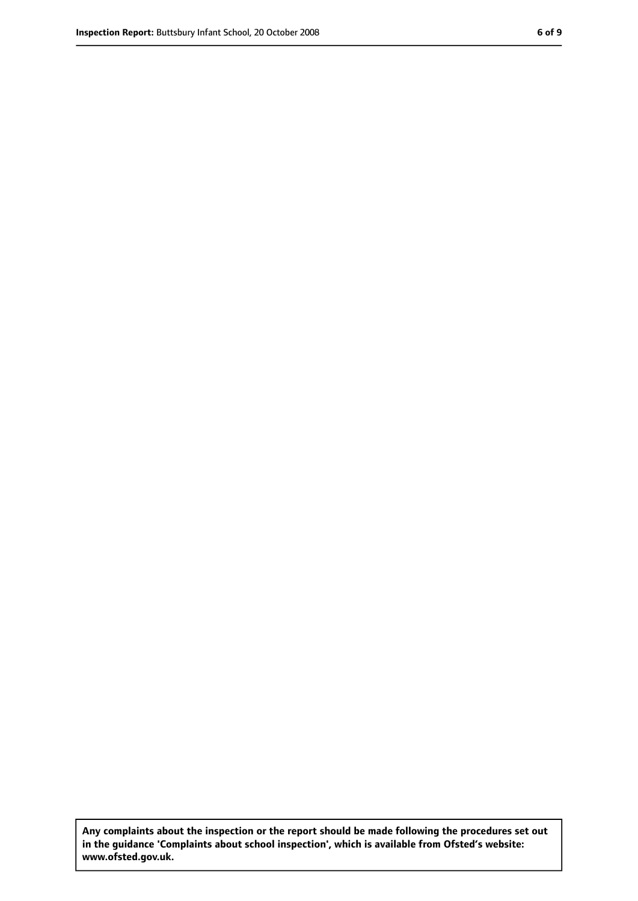**Any complaints about the inspection or the report should be made following the procedures set out in the guidance 'Complaints about school inspection', which is available from Ofsted's website: www.ofsted.gov.uk.**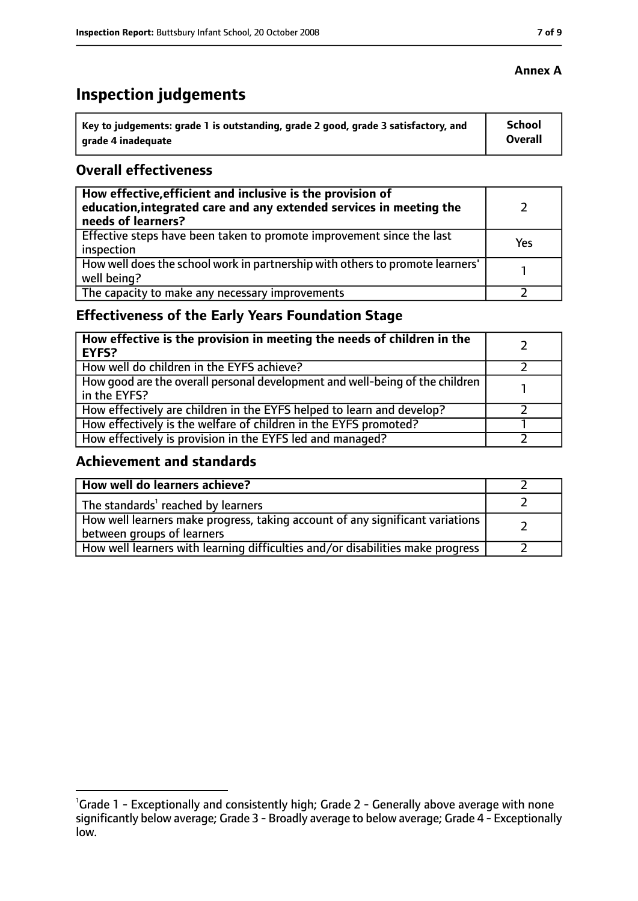# **Inspection judgements**

| ˈ Key to judgements: grade 1 is outstanding, grade 2 good, grade 3 satisfactory, and | <b>School</b>  |
|--------------------------------------------------------------------------------------|----------------|
| arade 4 inadequate                                                                   | <b>Overall</b> |

#### **Overall effectiveness**

| How effective, efficient and inclusive is the provision of<br>education, integrated care and any extended services in meeting the<br>needs of learners? |     |
|---------------------------------------------------------------------------------------------------------------------------------------------------------|-----|
| Effective steps have been taken to promote improvement since the last<br>inspection                                                                     | Yes |
| How well does the school work in partnership with others to promote learners'<br>well being?                                                            |     |
| The capacity to make any necessary improvements                                                                                                         |     |

## **Effectiveness of the Early Years Foundation Stage**

| How effective is the provision in meeting the needs of children in the<br>l EYFS?            |  |
|----------------------------------------------------------------------------------------------|--|
| How well do children in the EYFS achieve?                                                    |  |
| How good are the overall personal development and well-being of the children<br>in the EYFS? |  |
| How effectively are children in the EYFS helped to learn and develop?                        |  |
| How effectively is the welfare of children in the EYFS promoted?                             |  |
| How effectively is provision in the EYFS led and managed?                                    |  |

#### **Achievement and standards**

| How well do learners achieve?                                                                               |  |
|-------------------------------------------------------------------------------------------------------------|--|
| The standards <sup>1</sup> reached by learners                                                              |  |
| How well learners make progress, taking account of any significant variations<br>between groups of learners |  |
| How well learners with learning difficulties and/or disabilities make progress                              |  |

#### **Annex A**

<sup>&</sup>lt;sup>1</sup>Grade 1 - Exceptionally and consistently high; Grade 2 - Generally above average with none significantly below average; Grade 3 - Broadly average to below average; Grade 4 - Exceptionally low.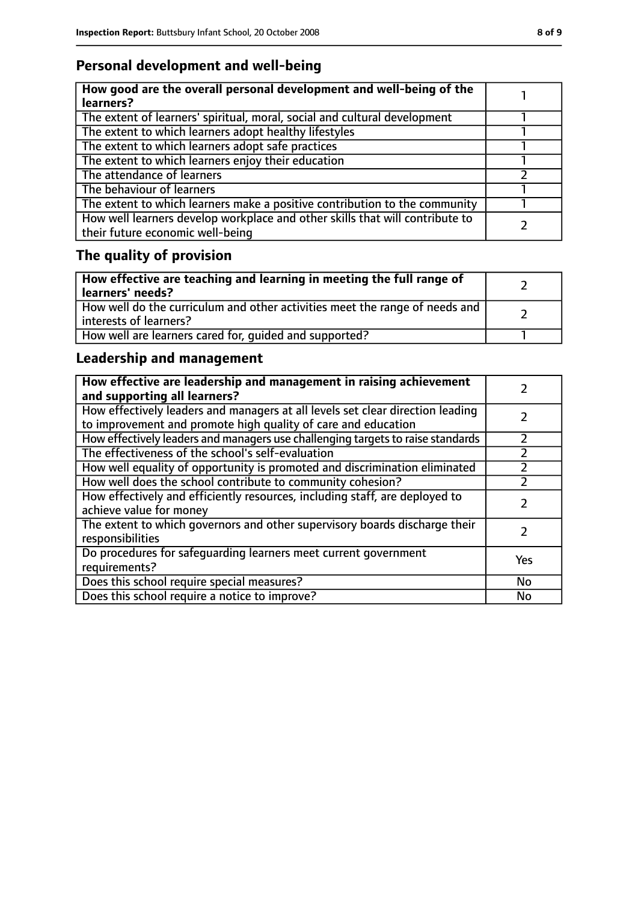## **Personal development and well-being**

| How good are the overall personal development and well-being of the<br>learners?                                 |  |
|------------------------------------------------------------------------------------------------------------------|--|
| The extent of learners' spiritual, moral, social and cultural development                                        |  |
| The extent to which learners adopt healthy lifestyles                                                            |  |
| The extent to which learners adopt safe practices                                                                |  |
| The extent to which learners enjoy their education                                                               |  |
| The attendance of learners                                                                                       |  |
| The behaviour of learners                                                                                        |  |
| The extent to which learners make a positive contribution to the community                                       |  |
| How well learners develop workplace and other skills that will contribute to<br>their future economic well-being |  |

# **The quality of provision**

| How effective are teaching and learning in meeting the full range of<br>learners' needs?              |  |
|-------------------------------------------------------------------------------------------------------|--|
| How well do the curriculum and other activities meet the range of needs and<br>interests of learners? |  |
| How well are learners cared for, quided and supported?                                                |  |

## **Leadership and management**

| How effective are leadership and management in raising achievement<br>and supporting all learners?                                              |     |
|-------------------------------------------------------------------------------------------------------------------------------------------------|-----|
| How effectively leaders and managers at all levels set clear direction leading<br>to improvement and promote high quality of care and education |     |
| How effectively leaders and managers use challenging targets to raise standards                                                                 |     |
| The effectiveness of the school's self-evaluation                                                                                               |     |
| How well equality of opportunity is promoted and discrimination eliminated                                                                      |     |
| How well does the school contribute to community cohesion?                                                                                      | フ   |
| How effectively and efficiently resources, including staff, are deployed to<br>achieve value for money                                          |     |
| The extent to which governors and other supervisory boards discharge their<br>responsibilities                                                  |     |
| Do procedures for safequarding learners meet current government<br>requirements?                                                                | Yes |
| Does this school require special measures?                                                                                                      | No  |
| Does this school require a notice to improve?                                                                                                   | No  |